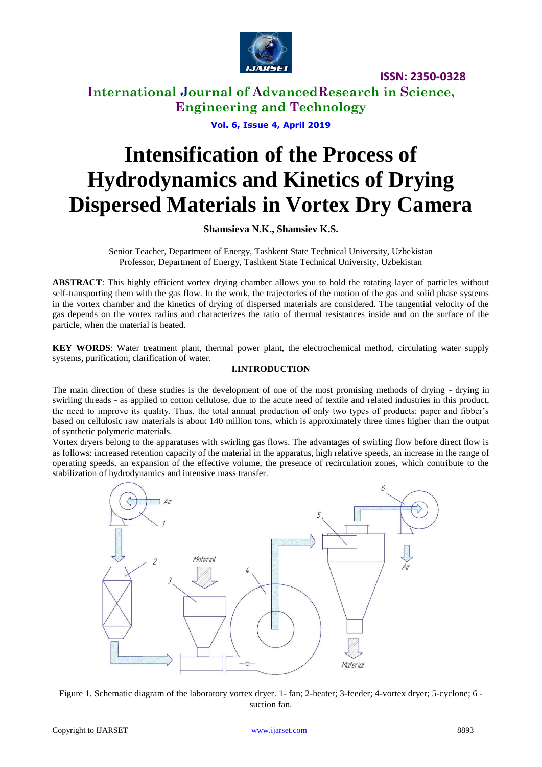

# **International Journal of AdvancedResearch in Science, Engineering and Technology**

**Vol. 6, Issue 4, April 2019**

# **Intensification of the Process of Hydrodynamics and Kinetics of Drying Dispersed Materials in Vortex Dry Camera**

**Shamsieva N.K., Shamsiev K.S.**

Senior Teacher, Department of Energy, Tashkent State Technical University, Uzbekistan Professor, Department of Energy, Tashkent State Technical University, Uzbekistan

**ABSTRACT**: This highly efficient vortex drying chamber allows you to hold the rotating layer of particles without self-transporting them with the gas flow. In the work, the trajectories of the motion of the gas and solid phase systems in the vortex chamber and the kinetics of drying of dispersed materials are considered. The tangential velocity of the gas depends on the vortex radius and characterizes the ratio of thermal resistances inside and on the surface of the particle, when the material is heated.

**KEY WORDS**: Water treatment plant, thermal power plant, the electrochemical method, circulating water supply systems, purification, clarification of water.

## **I.INTRODUCTION**

The main direction of these studies is the development of one of the most promising methods of drying - drying in swirling threads - as applied to cotton cellulose, due to the acute need of textile and related industries in this product, the need to improve its quality. Thus, the total annual production of only two types of products: paper and fibber's based on cellulosic raw materials is about 140 million tons, which is approximately three times higher than the output of synthetic polymeric materials.

Vortex dryers belong to the apparatuses with swirling gas flows. The advantages of swirling flow before direct flow is as follows: increased retention capacity of the material in the apparatus, high relative speeds, an increase in the range of operating speeds, an expansion of the effective volume, the presence of recirculation zones, which contribute to the stabilization of hydrodynamics and intensive mass transfer.



Figure 1. Schematic diagram of the laboratory vortex dryer. 1- fan; 2-heater; 3-feeder; 4-vortex dryer; 5-cyclone; 6 suction fan.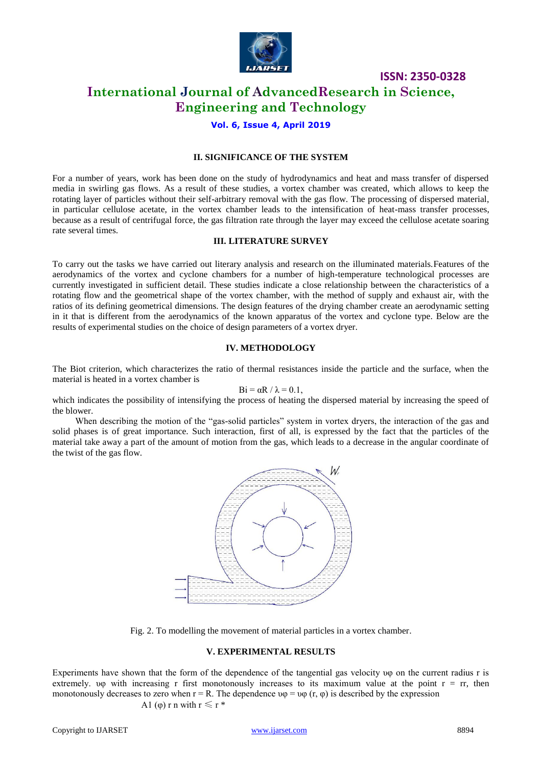

# **International Journal of AdvancedResearch in Science, Engineering and Technology**

## **Vol. 6, Issue 4, April 2019**

#### **II. SIGNIFICANCE OF THE SYSTEM**

For a number of years, work has been done on the study of hydrodynamics and heat and mass transfer of dispersed media in swirling gas flows. As a result of these studies, a vortex chamber was created, which allows to keep the rotating layer of particles without their self-arbitrary removal with the gas flow. The processing of dispersed material, in particular cellulose acetate, in the vortex chamber leads to the intensification of heat-mass transfer processes, because as a result of centrifugal force, the gas filtration rate through the layer may exceed the cellulose acetate soaring rate several times.

#### **III. LITERATURE SURVEY**

To carry out the tasks we have carried out literary analysis and research on the illuminated materials.Features of the aerodynamics of the vortex and cyclone chambers for a number of high-temperature technological processes are currently investigated in sufficient detail. These studies indicate a close relationship between the characteristics of a rotating flow and the geometrical shape of the vortex chamber, with the method of supply and exhaust air, with the ratios of its defining geometrical dimensions. The design features of the drying chamber create an aerodynamic setting in it that is different from the aerodynamics of the known apparatus of the vortex and cyclone type. Below are the results of experimental studies on the choice of design parameters of a vortex dryer.

#### **IV. METHODOLOGY**

The Biot criterion, which characterizes the ratio of thermal resistances inside the particle and the surface, when the material is heated in a vortex chamber is

$$
Bi = \alpha R / \lambda = 0.1,
$$

which indicates the possibility of intensifying the process of heating the dispersed material by increasing the speed of the blower.

When describing the motion of the "gas-solid particles" system in vortex dryers, the interaction of the gas and solid phases is of great importance. Such interaction, first of all, is expressed by the fact that the particles of the material take away a part of the amount of motion from the gas, which leads to a decrease in the angular coordinate of the twist of the gas flow.



Fig. 2. To modelling the movement of material particles in a vortex chamber.

#### **V. EXPERIMENTAL RESULTS**

Experiments have shown that the form of the dependence of the tangential gas velocity υφ on the current radius r is extremely.  $\nu\varphi$  with increasing r first monotonously increases to its maximum value at the point  $r = rr$ , then monotonously decreases to zero when  $r = R$ . The dependence  $v\varphi = v\varphi$  (r,  $\varphi$ ) is described by the expression

A1 (φ) r n with 
$$
r \leq r^*
$$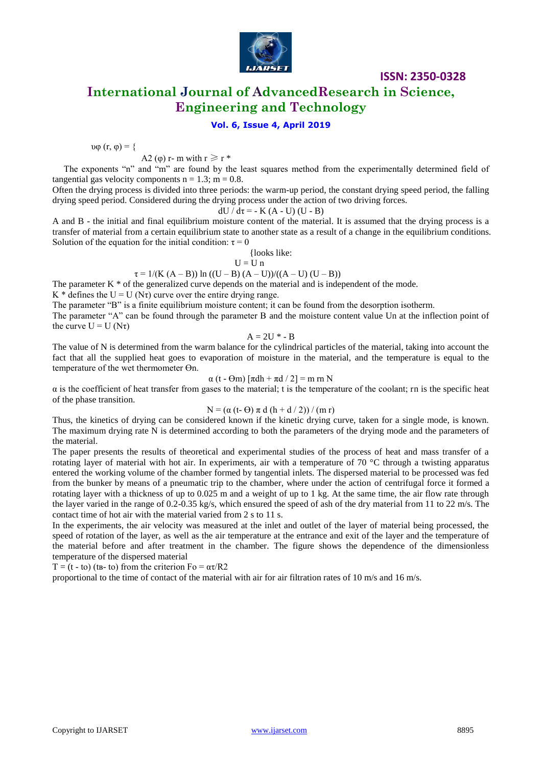

**International Journal of AdvancedResearch in Science, Engineering and Technology**

#### **Vol. 6, Issue 4, April 2019**

$$
\upsilon\varphi\left(r,\,\varphi\right)=\{
$$

A2 ( $\varphi$ ) r- m with  $r \geq r$  \*

The exponents "n" and "m" are found by the least squares method from the experimentally determined field of tangential gas velocity components  $n = 1.3$ ;  $m = 0.8$ .

Often the drying process is divided into three periods: the warm-up period, the constant drying speed period, the falling drying speed period. Considered during the drying process under the action of two driving forces.

$$
dU / d\tau = -K (A - U) (U - B)
$$

A and B - the initial and final equilibrium moisture content of the material. It is assumed that the drying process is a transfer of material from a certain equilibrium state to another state as a result of a change in the equilibrium conditions. Solution of the equation for the initial condition:  $\tau = 0$ 

{looks like:

$$
U = U n
$$

 $\tau = 1/(K (A - B)) \ln ((U - B) (A - U))/(A - U) (U - B))$ 

The parameter  $K^*$  of the generalized curve depends on the material and is independent of the mode. K \* defines the U = U (N $\tau$ ) curve over the entire drying range.

The parameter "B" is a finite equilibrium moisture content; it can be found from the desorption isotherm.

The parameter "A" can be found through the parameter B and the moisture content value Un at the inflection point of the curve  $U = U (N\tau)$ 

 $A = 2U^* - B$ 

The value of N is determined from the warm balance for the cylindrical particles of the material, taking into account the fact that all the supplied heat goes to evaporation of moisture in the material, and the temperature is equal to the temperature of the wet thermometer Өn.

α (t - Өm) [πdh + πd / 2] = m rn N

α is the coefficient of heat transfer from gases to the material; t is the temperature of the coolant; rn is the specific heat of the phase transition.

$$
N = (\alpha (t - \Theta) \pi d (h + d / 2)) / (m r)
$$

Thus, the kinetics of drying can be considered known if the kinetic drying curve, taken for a single mode, is known. The maximum drying rate N is determined according to both the parameters of the drying mode and the parameters of the material.

The paper presents the results of theoretical and experimental studies of the process of heat and mass transfer of a rotating layer of material with hot air. In experiments, air with a temperature of  $70\degree C$  through a twisting apparatus entered the working volume of the chamber formed by tangential inlets. The dispersed material to be processed was fed from the bunker by means of a pneumatic trip to the chamber, where under the action of centrifugal force it formed a rotating layer with a thickness of up to 0.025 m and a weight of up to 1 kg. At the same time, the air flow rate through the layer varied in the range of 0.2-0.35 kg/s, which ensured the speed of ash of the dry material from 11 to 22 m/s. The contact time of hot air with the material varied from 2 s to 11 s.

In the experiments, the air velocity was measured at the inlet and outlet of the layer of material being processed, the speed of rotation of the layer, as well as the air temperature at the entrance and exit of the layer and the temperature of the material before and after treatment in the chamber. The figure shows the dependence of the dimensionless temperature of the dispersed material

T = (t - to) (t - to) from the criterion  $Fo = \alpha \tau / R2$ 

proportional to the time of contact of the material with air for air filtration rates of 10 m/s and 16 m/s.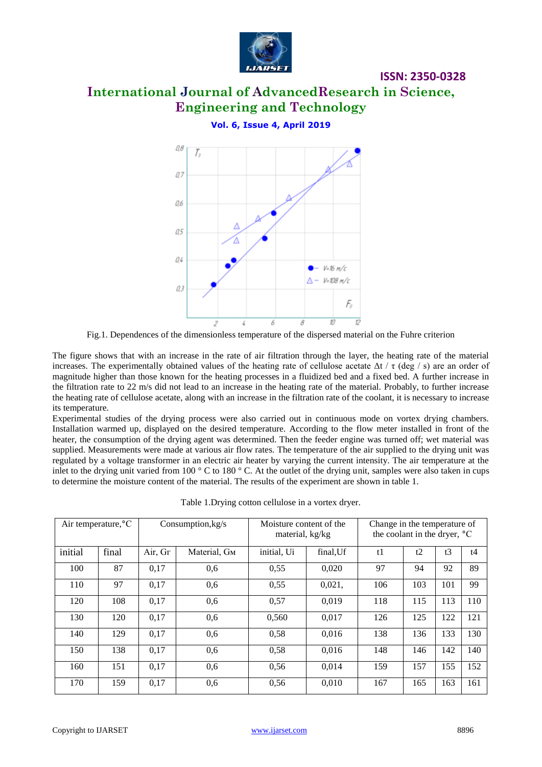

# **International Journal of AdvancedResearch in Science, Engineering and Technology**

**Vol. 6, Issue 4, April 2019**



Fig.1. Dependences of the dimensionless temperature of the dispersed material on the Fuhre criterion

The figure shows that with an increase in the rate of air filtration through the layer, the heating rate of the material increases. The experimentally obtained values of the heating rate of cellulose acetate  $\Delta t / \tau$  (deg / s) are an order of magnitude higher than those known for the heating processes in a fluidized bed and a fixed bed. A further increase in the filtration rate to 22 m/s did not lead to an increase in the heating rate of the material. Probably, to further increase the heating rate of cellulose acetate, along with an increase in the filtration rate of the coolant, it is necessary to increase its temperature.

Experimental studies of the drying process were also carried out in continuous mode on vortex drying chambers. Installation warmed up, displayed on the desired temperature. According to the flow meter installed in front of the heater, the consumption of the drying agent was determined. Then the feeder engine was turned off; wet material was supplied. Measurements were made at various air flow rates. The temperature of the air supplied to the drying unit was regulated by a voltage transformer in an electric air heater by varying the current intensity. The air temperature at the inlet to the drying unit varied from 100 ° C to 180 ° C. At the outlet of the drying unit, samples were also taken in cups to determine the moisture content of the material. The results of the experiment are shown in table 1.

| Air temperature, °C |       | Consumption, $kg/s$ |              | Moisture content of the<br>material, kg/kg |           | Change in the temperature of<br>the coolant in the dryer, <sup>o</sup> C |     |     |     |
|---------------------|-------|---------------------|--------------|--------------------------------------------|-----------|--------------------------------------------------------------------------|-----|-----|-----|
| initial             | final | Air, Gr             | Material, Gм | initial, Ui                                | final, Uf | t1                                                                       | t2  | t3  | t4  |
| 100                 | 87    | 0,17                | 0,6          | 0,55                                       | 0,020     | 97                                                                       | 94  | 92  | 89  |
| 110                 | 97    | 0,17                | 0.6          | 0,55                                       | 0,021,    | 106                                                                      | 103 | 101 | 99  |
| 120                 | 108   | 0,17                | 0,6          | 0,57                                       | 0.019     | 118                                                                      | 115 | 113 | 110 |
| 130                 | 120   | 0,17                | 0,6          | 0,560                                      | 0,017     | 126                                                                      | 125 | 122 | 121 |
| 140                 | 129   | 0,17                | 0,6          | 0,58                                       | 0,016     | 138                                                                      | 136 | 133 | 130 |
| 150                 | 138   | 0,17                | 0.6          | 0,58                                       | 0,016     | 148                                                                      | 146 | 142 | 140 |
| 160                 | 151   | 0,17                | 0,6          | 0,56                                       | 0,014     | 159                                                                      | 157 | 155 | 152 |
| 170                 | 159   | 0.17                | 0,6          | 0,56                                       | 0,010     | 167                                                                      | 165 | 163 | 161 |

Table 1.Drying cotton cellulose in a vortex dryer.